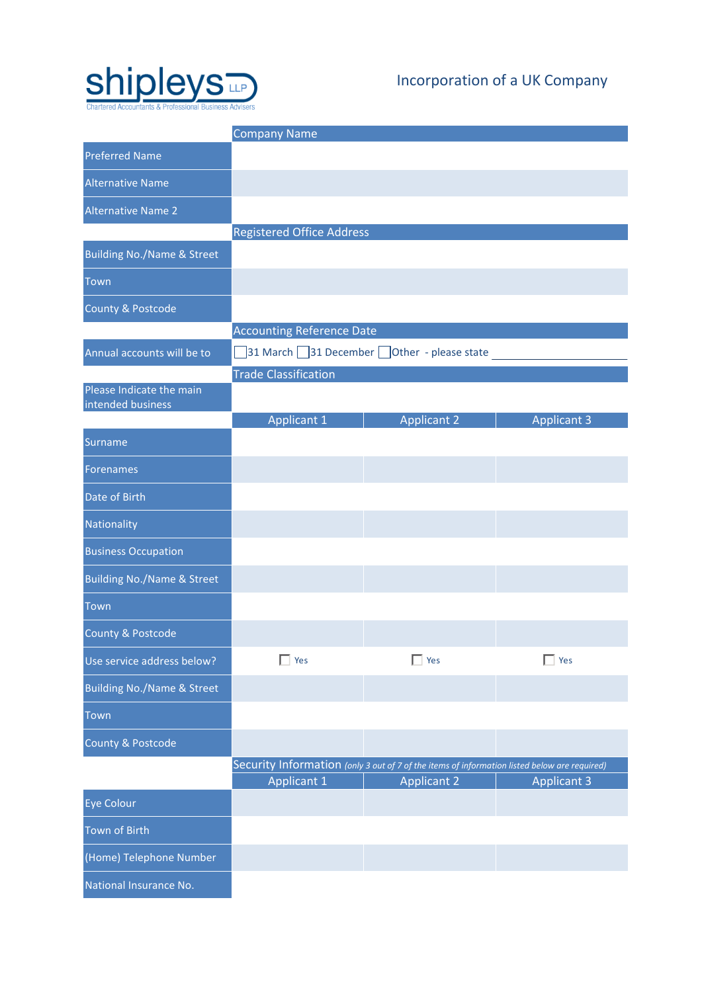

# Incorporation of a UK Company

|                                               | <b>Company Name</b>                       |                                                                                              |                    |  |  |
|-----------------------------------------------|-------------------------------------------|----------------------------------------------------------------------------------------------|--------------------|--|--|
| <b>Preferred Name</b>                         |                                           |                                                                                              |                    |  |  |
| <b>Alternative Name</b>                       |                                           |                                                                                              |                    |  |  |
| <b>Alternative Name 2</b>                     |                                           |                                                                                              |                    |  |  |
|                                               | <b>Registered Office Address</b>          |                                                                                              |                    |  |  |
| <b>Building No./Name &amp; Street</b>         |                                           |                                                                                              |                    |  |  |
| Town                                          |                                           |                                                                                              |                    |  |  |
| County & Postcode                             |                                           |                                                                                              |                    |  |  |
|                                               | <b>Accounting Reference Date</b>          |                                                                                              |                    |  |  |
| Annual accounts will be to                    | 31 March 31 December Other - please state |                                                                                              |                    |  |  |
|                                               | <b>Trade Classification</b>               |                                                                                              |                    |  |  |
| Please Indicate the main<br>intended business |                                           |                                                                                              |                    |  |  |
|                                               | <b>Applicant 1</b>                        | <b>Applicant 2</b>                                                                           | <b>Applicant 3</b> |  |  |
| Surname                                       |                                           |                                                                                              |                    |  |  |
| <b>Forenames</b>                              |                                           |                                                                                              |                    |  |  |
| Date of Birth                                 |                                           |                                                                                              |                    |  |  |
| Nationality                                   |                                           |                                                                                              |                    |  |  |
| <b>Business Occupation</b>                    |                                           |                                                                                              |                    |  |  |
| <b>Building No./Name &amp; Street</b>         |                                           |                                                                                              |                    |  |  |
| <b>Town</b>                                   |                                           |                                                                                              |                    |  |  |
| County & Postcode                             |                                           |                                                                                              |                    |  |  |
| Use service address below?                    | Yes                                       | Yes                                                                                          | Yes                |  |  |
| <b>Building No./Name &amp; Street</b>         |                                           |                                                                                              |                    |  |  |
| Town                                          |                                           |                                                                                              |                    |  |  |
| County & Postcode                             |                                           |                                                                                              |                    |  |  |
|                                               |                                           | Security Information (only 3 out of 7 of the items of information listed below are required) |                    |  |  |
|                                               | <b>Applicant 1</b>                        | <b>Applicant 2</b>                                                                           | <b>Applicant 3</b> |  |  |
| <b>Eye Colour</b>                             |                                           |                                                                                              |                    |  |  |
| <b>Town of Birth</b>                          |                                           |                                                                                              |                    |  |  |
| (Home) Telephone Number                       |                                           |                                                                                              |                    |  |  |
| National Insurance No.                        |                                           |                                                                                              |                    |  |  |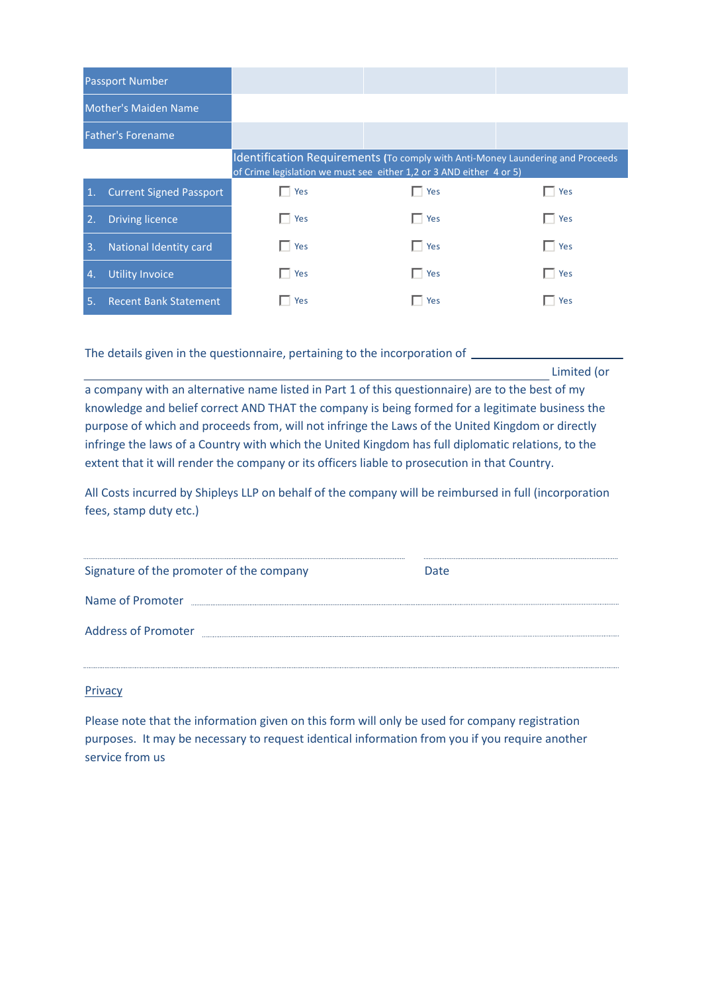|                | <b>Passport Number</b>         |                                                                                                                                                       |              |            |  |
|----------------|--------------------------------|-------------------------------------------------------------------------------------------------------------------------------------------------------|--------------|------------|--|
|                | Mother's Maiden Name           |                                                                                                                                                       |              |            |  |
|                | Father's Forename              |                                                                                                                                                       |              |            |  |
|                |                                | Identification Requirements (To comply with Anti-Money Laundering and Proceeds<br>of Crime legislation we must see either 1,2 or 3 AND either 4 or 5) |              |            |  |
| $\mathbf{1}$ . | <b>Current Signed Passport</b> | Yes                                                                                                                                                   | $\Box$ Yes   | $\Box$ Yes |  |
| 2.             | <b>Driving licence</b>         | Yes                                                                                                                                                   | $\Gamma$ Yes | $\Box$ Yes |  |
| 3.             | <b>National Identity card</b>  | Yes                                                                                                                                                   | $\Box$ Yes   | Yes        |  |
| $\mathbf{4}$   | <b>Utility Invoice</b>         | Yes                                                                                                                                                   | $\Box$ Yes   | Yes        |  |
| 5.             | <b>Recent Bank Statement</b>   | Yes                                                                                                                                                   | $\Box$ Yes   | Yes        |  |

The details given in the questionnaire, pertaining to the incorporation of \_\_\_\_\_

Limited (or

a company with an alternative name listed in Part 1 of this questionnaire) are to the best of my knowledge and belief correct AND THAT the company is being formed for a legitimate business the purpose of which and proceeds from, will not infringe the Laws of the United Kingdom or directly infringe the laws of a Country with which the United Kingdom has full diplomatic relations, to the extent that it will render the company or its officers liable to prosecution in that Country.

All Costs incurred by Shipleys LLP on behalf of the company will be reimbursed in full (incorporation fees, stamp duty etc.)

| Signature of the promoter of the company | Date |
|------------------------------------------|------|
| Name of Promoter                         |      |
| <b>Address of Promoter</b>               |      |
|                                          |      |

### Privacy

Please note that the information given on this form will only be used for company registration purposes. It may be necessary to request identical information from you if you require another service from us